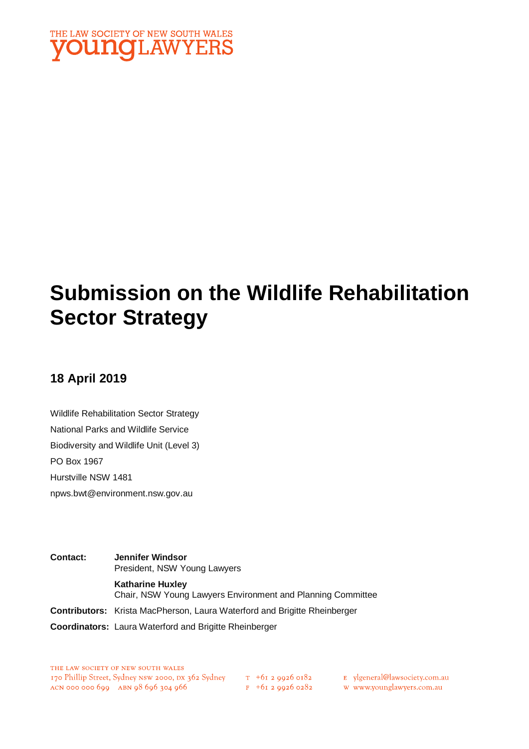

# **Submission on the Wildlife Rehabilitation Sector Strategy**

# **18 April 2019**

Wildlife Rehabilitation Sector Strategy National Parks and Wildlife Service Biodiversity and Wildlife Unit (Level 3) PO Box 1967 Hurstville NSW 1481 npws.bwt@environment.nsw.gov.au

**Contact: Jennifer Windsor** President, NSW Young Lawyers **Katharine Huxley** Chair, NSW Young Lawyers Environment and Planning Committee **Contributors:** Krista MacPherson, Laura Waterford and Brigitte Rheinberger **Coordinators:** Laura Waterford and Brigitte Rheinberger

THE LAW SOCIETY OF NEW SOUTH WALES 170 Phillip Street, Sydney NSW 2000, DX 362 Sydney  $\frac{\tau + 61}{2}$  9926 0182 E ylgeneral@lawsociety.com.au<br>ACN 000 000 699 ABN 98 696 304 966 F +61 2 9926 0282 W www.younglawyers.com.au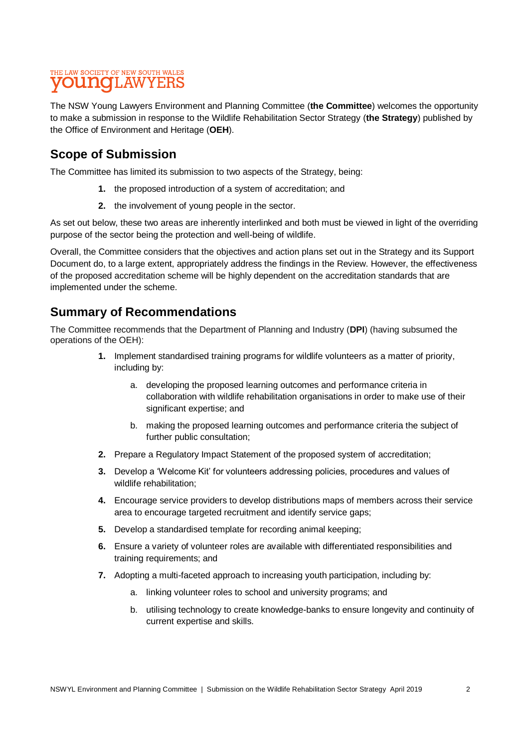The NSW Young Lawyers Environment and Planning Committee (**the Committee**) welcomes the opportunity to make a submission in response to the Wildlife Rehabilitation Sector Strategy (**the Strategy**) published by the Office of Environment and Heritage (**OEH**).

# **Scope of Submission**

The Committee has limited its submission to two aspects of the Strategy, being:

- **1.** the proposed introduction of a system of accreditation; and
- **2.** the involvement of young people in the sector.

As set out below, these two areas are inherently interlinked and both must be viewed in light of the overriding purpose of the sector being the protection and well-being of wildlife.

Overall, the Committee considers that the objectives and action plans set out in the Strategy and its Support Document do, to a large extent, appropriately address the findings in the Review. However, the effectiveness of the proposed accreditation scheme will be highly dependent on the accreditation standards that are implemented under the scheme.

## **Summary of Recommendations**

The Committee recommends that the Department of Planning and Industry (**DPI**) (having subsumed the operations of the OEH):

- **1.** Implement standardised training programs for wildlife volunteers as a matter of priority, including by:
	- a. developing the proposed learning outcomes and performance criteria in collaboration with wildlife rehabilitation organisations in order to make use of their significant expertise; and
	- b. making the proposed learning outcomes and performance criteria the subject of further public consultation;
- **2.** Prepare a Regulatory Impact Statement of the proposed system of accreditation;
- **3.** Develop a 'Welcome Kit' for volunteers addressing policies, procedures and values of wildlife rehabilitation;
- **4.** Encourage service providers to develop distributions maps of members across their service area to encourage targeted recruitment and identify service gaps;
- **5.** Develop a standardised template for recording animal keeping;
- **6.** Ensure a variety of volunteer roles are available with differentiated responsibilities and training requirements; and
- **7.** Adopting a multi-faceted approach to increasing youth participation, including by:
	- a. linking volunteer roles to school and university programs; and
	- b. utilising technology to create knowledge-banks to ensure longevity and continuity of current expertise and skills.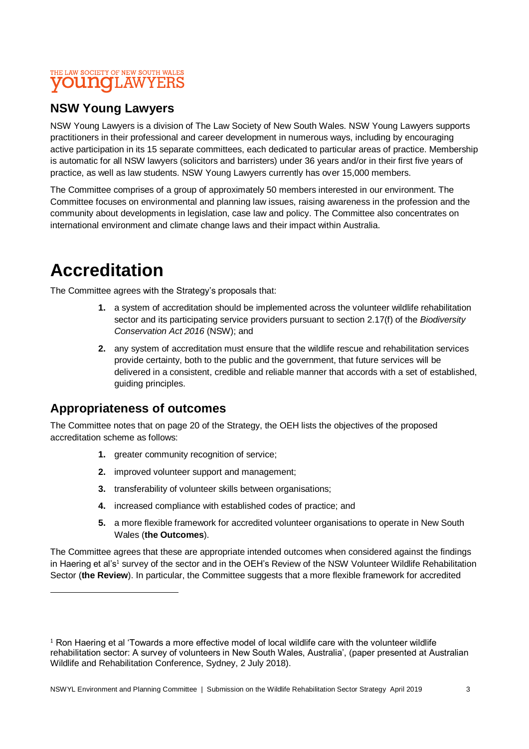# **NSW Young Lawyers**

NSW Young Lawyers is a division of The Law Society of New South Wales. NSW Young Lawyers supports practitioners in their professional and career development in numerous ways, including by encouraging active participation in its 15 separate committees, each dedicated to particular areas of practice. Membership is automatic for all NSW lawyers (solicitors and barristers) under 36 years and/or in their first five years of practice, as well as law students. NSW Young Lawyers currently has over 15,000 members.

The Committee comprises of a group of approximately 50 members interested in our environment. The Committee focuses on environmental and planning law issues, raising awareness in the profession and the community about developments in legislation, case law and policy. The Committee also concentrates on international environment and climate change laws and their impact within Australia.

# **Accreditation**

l

The Committee agrees with the Strategy's proposals that:

- **1.** a system of accreditation should be implemented across the volunteer wildlife rehabilitation sector and its participating service providers pursuant to section 2.17(f) of the *Biodiversity Conservation Act 2016* (NSW); and
- **2.** any system of accreditation must ensure that the wildlife rescue and rehabilitation services provide certainty, both to the public and the government, that future services will be delivered in a consistent, credible and reliable manner that accords with a set of established, guiding principles.

# **Appropriateness of outcomes**

The Committee notes that on page 20 of the Strategy, the OEH lists the objectives of the proposed accreditation scheme as follows:

- **1.** greater community recognition of service;
- **2.** improved volunteer support and management;
- **3.** transferability of volunteer skills between organisations;
- **4.** increased compliance with established codes of practice; and
- **5.** a more flexible framework for accredited volunteer organisations to operate in New South Wales (**the Outcomes**).

The Committee agrees that these are appropriate intended outcomes when considered against the findings in Haering et al's<sup>1</sup> survey of the sector and in the OEH's Review of the NSW Volunteer Wildlife Rehabilitation Sector (the Review). In particular, the Committee suggests that a more flexible framework for accredited

 $1$  Ron Haering et al 'Towards a more effective model of local wildlife care with the volunteer wildlife rehabilitation sector: A survey of volunteers in New South Wales, Australia', (paper presented at Australian Wildlife and Rehabilitation Conference, Sydney, 2 July 2018).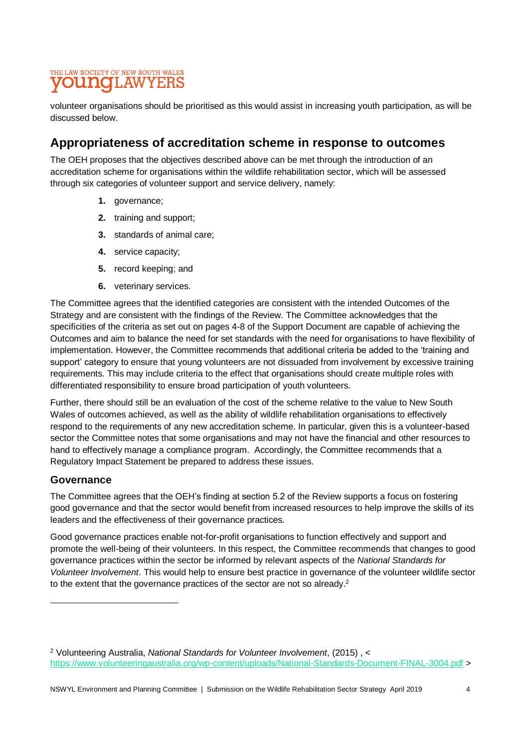volunteer organisations should be prioritised as this would assist in increasing youth participation, as will be discussed below.

# **Appropriateness of accreditation scheme in response to outcomes**

The OEH proposes that the objectives described above can be met through the introduction of an accreditation scheme for organisations within the wildlife rehabilitation sector, which will be assessed through six categories of volunteer support and service delivery, namely:

- **1.** governance;
- **2.** training and support;
- **3.** standards of animal care;
- **4.** service capacity;
- **5.** record keeping; and
- **6.** veterinary services.

The Committee agrees that the identified categories are consistent with the intended Outcomes of the Strategy and are consistent with the findings of the Review. The Committee acknowledges that the specificities of the criteria as set out on pages 4-8 of the Support Document are capable of achieving the Outcomes and aim to balance the need for set standards with the need for organisations to have flexibility of implementation. However, the Committee recommends that additional criteria be added to the 'training and support' category to ensure that young volunteers are not dissuaded from involvement by excessive training requirements. This may include criteria to the effect that organisations should create multiple roles with differentiated responsibility to ensure broad participation of youth volunteers.

Further, there should still be an evaluation of the cost of the scheme relative to the value to New South Wales of outcomes achieved, as well as the ability of wildlife rehabilitation organisations to effectively respond to the requirements of any new accreditation scheme. In particular, given this is a volunteer-based sector the Committee notes that some organisations and may not have the financial and other resources to hand to effectively manage a compliance program. Accordingly, the Committee recommends that a Regulatory Impact Statement be prepared to address these issues.

#### **Governance**

l

The Committee agrees that the OEH's finding at section 5.2 of the Review supports a focus on fostering good governance and that the sector would benefit from increased resources to help improve the skills of its leaders and the effectiveness of their governance practices.

Good governance practices enable not-for-profit organisations to function effectively and support and promote the well-being of their volunteers. In this respect, the Committee recommends that changes to good governance practices within the sector be informed by relevant aspects of the *National Standards for Volunteer Involvement*. This would help to ensure best practice in governance of the volunteer wildlife sector to the extent that the governance practices of the sector are not so already.<sup>2</sup>

<sup>2</sup> Volunteering Australia, *National Standards for Volunteer Involvement*, (2015) , < <https://www.volunteeringaustralia.org/wp-content/uploads/National-Standards-Document-FINAL-3004.pdf> >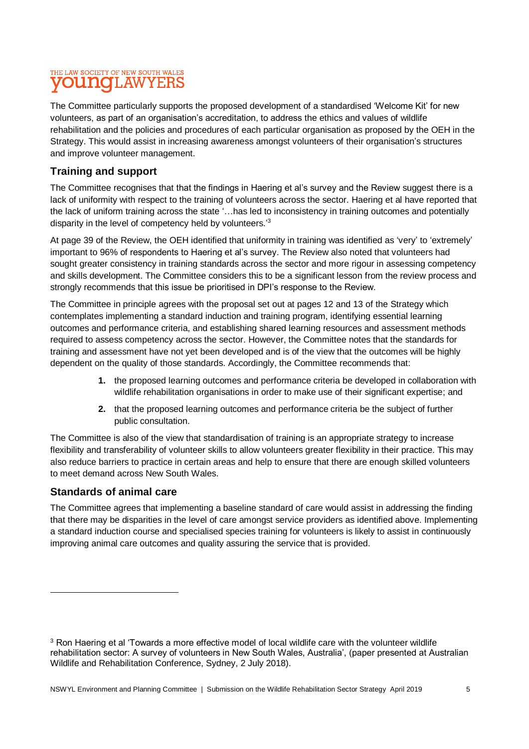The Committee particularly supports the proposed development of a standardised 'Welcome Kit' for new volunteers, as part of an organisation's accreditation, to address the ethics and values of wildlife rehabilitation and the policies and procedures of each particular organisation as proposed by the OEH in the Strategy. This would assist in increasing awareness amongst volunteers of their organisation's structures and improve volunteer management.

### **Training and support**

The Committee recognises that that the findings in Haering et al's survey and the Review suggest there is a lack of uniformity with respect to the training of volunteers across the sector. Haering et al have reported that the lack of uniform training across the state '…has led to inconsistency in training outcomes and potentially disparity in the level of competency held by volunteers.'<sup>3</sup>

At page 39 of the Review, the OEH identified that uniformity in training was identified as 'very' to 'extremely' important to 96% of respondents to Haering et al's survey. The Review also noted that volunteers had sought greater consistency in training standards across the sector and more rigour in assessing competency and skills development. The Committee considers this to be a significant lesson from the review process and strongly recommends that this issue be prioritised in DPI's response to the Review.

The Committee in principle agrees with the proposal set out at pages 12 and 13 of the Strategy which contemplates implementing a standard induction and training program, identifying essential learning outcomes and performance criteria, and establishing shared learning resources and assessment methods required to assess competency across the sector. However, the Committee notes that the standards for training and assessment have not yet been developed and is of the view that the outcomes will be highly dependent on the quality of those standards. Accordingly, the Committee recommends that:

- **1.** the proposed learning outcomes and performance criteria be developed in collaboration with wildlife rehabilitation organisations in order to make use of their significant expertise; and
- **2.** that the proposed learning outcomes and performance criteria be the subject of further public consultation.

The Committee is also of the view that standardisation of training is an appropriate strategy to increase flexibility and transferability of volunteer skills to allow volunteers greater flexibility in their practice. This may also reduce barriers to practice in certain areas and help to ensure that there are enough skilled volunteers to meet demand across New South Wales.

#### **Standards of animal care**

l

The Committee agrees that implementing a baseline standard of care would assist in addressing the finding that there may be disparities in the level of care amongst service providers as identified above. Implementing a standard induction course and specialised species training for volunteers is likely to assist in continuously improving animal care outcomes and quality assuring the service that is provided.

<sup>&</sup>lt;sup>3</sup> Ron Haering et al 'Towards a more effective model of local wildlife care with the volunteer wildlife rehabilitation sector: A survey of volunteers in New South Wales, Australia', (paper presented at Australian Wildlife and Rehabilitation Conference, Sydney, 2 July 2018).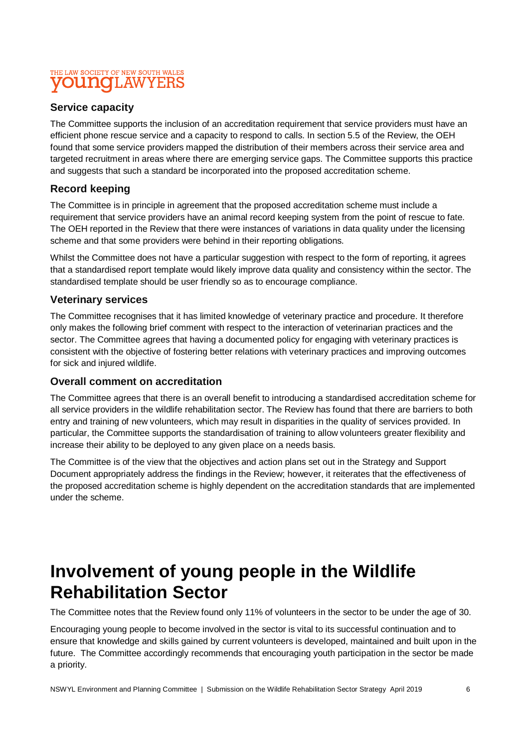#### **Service capacity**

The Committee supports the inclusion of an accreditation requirement that service providers must have an efficient phone rescue service and a capacity to respond to calls. In section 5.5 of the Review, the OEH found that some service providers mapped the distribution of their members across their service area and targeted recruitment in areas where there are emerging service gaps. The Committee supports this practice and suggests that such a standard be incorporated into the proposed accreditation scheme.

#### **Record keeping**

The Committee is in principle in agreement that the proposed accreditation scheme must include a requirement that service providers have an animal record keeping system from the point of rescue to fate. The OEH reported in the Review that there were instances of variations in data quality under the licensing scheme and that some providers were behind in their reporting obligations.

Whilst the Committee does not have a particular suggestion with respect to the form of reporting, it agrees that a standardised report template would likely improve data quality and consistency within the sector. The standardised template should be user friendly so as to encourage compliance.

#### **Veterinary services**

The Committee recognises that it has limited knowledge of veterinary practice and procedure. It therefore only makes the following brief comment with respect to the interaction of veterinarian practices and the sector. The Committee agrees that having a documented policy for engaging with veterinary practices is consistent with the objective of fostering better relations with veterinary practices and improving outcomes for sick and injured wildlife.

#### **Overall comment on accreditation**

The Committee agrees that there is an overall benefit to introducing a standardised accreditation scheme for all service providers in the wildlife rehabilitation sector. The Review has found that there are barriers to both entry and training of new volunteers, which may result in disparities in the quality of services provided. In particular, the Committee supports the standardisation of training to allow volunteers greater flexibility and increase their ability to be deployed to any given place on a needs basis.

The Committee is of the view that the objectives and action plans set out in the Strategy and Support Document appropriately address the findings in the Review; however, it reiterates that the effectiveness of the proposed accreditation scheme is highly dependent on the accreditation standards that are implemented under the scheme.

# **Involvement of young people in the Wildlife Rehabilitation Sector**

The Committee notes that the Review found only 11% of volunteers in the sector to be under the age of 30.

Encouraging young people to become involved in the sector is vital to its successful continuation and to ensure that knowledge and skills gained by current volunteers is developed, maintained and built upon in the future. The Committee accordingly recommends that encouraging youth participation in the sector be made a priority.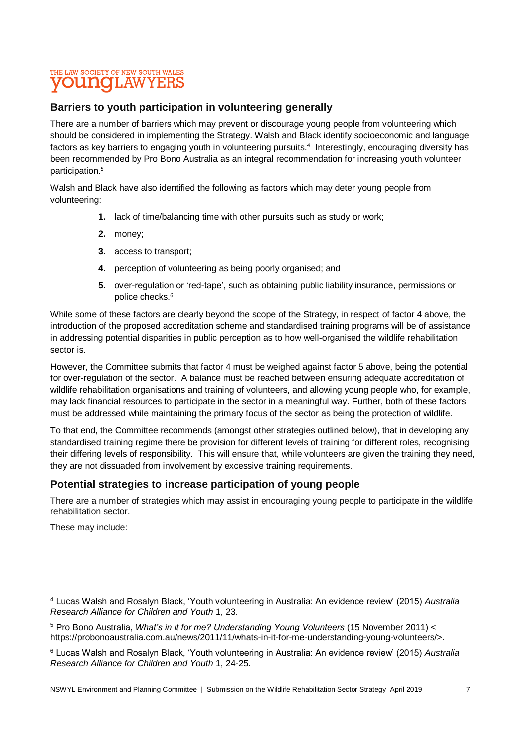#### **Barriers to youth participation in volunteering generally**

There are a number of barriers which may prevent or discourage young people from volunteering which should be considered in implementing the Strategy. Walsh and Black identify socioeconomic and language factors as key barriers to engaging youth in volunteering pursuits. 4 Interestingly, encouraging diversity has been recommended by Pro Bono Australia as an integral recommendation for increasing youth volunteer participation.<sup>5</sup>

Walsh and Black have also identified the following as factors which may deter young people from volunteering:

- **1.** lack of time/balancing time with other pursuits such as study or work;
- **2.** money;
- **3.** access to transport;
- **4.** perception of volunteering as being poorly organised; and
- **5.** over-regulation or 'red-tape', such as obtaining public liability insurance, permissions or police checks.<sup>6</sup>

While some of these factors are clearly beyond the scope of the Strategy, in respect of factor 4 above, the introduction of the proposed accreditation scheme and standardised training programs will be of assistance in addressing potential disparities in public perception as to how well-organised the wildlife rehabilitation sector is.

However, the Committee submits that factor 4 must be weighed against factor 5 above, being the potential for over-regulation of the sector. A balance must be reached between ensuring adequate accreditation of wildlife rehabilitation organisations and training of volunteers, and allowing young people who, for example, may lack financial resources to participate in the sector in a meaningful way. Further, both of these factors must be addressed while maintaining the primary focus of the sector as being the protection of wildlife.

To that end, the Committee recommends (amongst other strategies outlined below), that in developing any standardised training regime there be provision for different levels of training for different roles, recognising their differing levels of responsibility. This will ensure that, while volunteers are given the training they need, they are not dissuaded from involvement by excessive training requirements.

#### **Potential strategies to increase participation of young people**

There are a number of strategies which may assist in encouraging young people to participate in the wildlife rehabilitation sector.

These may include:

l

<sup>4</sup> Lucas Walsh and Rosalyn Black, 'Youth volunteering in Australia: An evidence review' (2015) *Australia Research Alliance for Children and Youth* 1, 23.

<sup>5</sup> Pro Bono Australia, *What's in it for me? Understanding Young Volunteers* (15 November 2011) < https://probonoaustralia.com.au/news/2011/11/whats-in-it-for-me-understanding-young-volunteers/>.

<sup>6</sup> Lucas Walsh and Rosalyn Black, 'Youth volunteering in Australia: An evidence review' (2015) *Australia Research Alliance for Children and Youth* 1, 24-25.